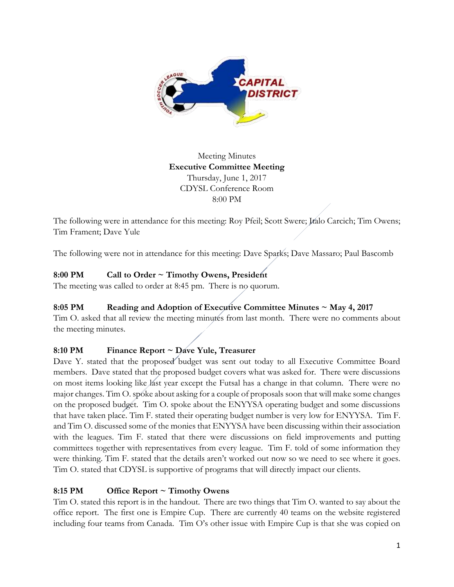

Meeting Minutes **Executive Committee Meeting**  Thursday, June 1, 2017 CDYSL Conference Room 8:00 PM

The following were in attendance for this meeting: Roy Pfeil; Scott Swere; Italo Carcich; Tim Owens; Tim Frament; Dave Yule

The following were not in attendance for this meeting: Dave Sparks; Dave Massaro; Paul Bascomb

# **8:00 PM Call to Order ~ Timothy Owens, President**

The meeting was called to order at 8:45 pm. There is no quorum.

# **8:05 PM Reading and Adoption of Executive Committee Minutes ~ May 4, 2017**

Tim O. asked that all review the meeting minutes from last month. There were no comments about the meeting minutes.

# **8:10 PM Finance Report ~ Dave Yule, Treasurer**

Dave Y. stated that the proposed budget was sent out today to all Executive Committee Board members. Dave stated that the proposed budget covers what was asked for. There were discussions on most items looking like last year except the Futsal has a change in that column. There were no major changes. Tim O. spoke about asking for a couple of proposals soon that will make some changes on the proposed budget. Tim O. spoke about the ENYYSA operating budget and some discussions that have taken place. Tim F. stated their operating budget number is very low for ENYYSA. Tim F. and Tim O. discussed some of the monies that ENYYSA have been discussing within their association with the leagues. Tim F. stated that there were discussions on field improvements and putting committees together with representatives from every league. Tim F. told of some information they were thinking. Tim F. stated that the details aren't worked out now so we need to see where it goes. Tim O. stated that CDYSL is supportive of programs that will directly impact our clients.

# **8:15 PM Office Report ~ Timothy Owens**

Tim O. stated this report is in the handout. There are two things that Tim O. wanted to say about the office report. The first one is Empire Cup. There are currently 40 teams on the website registered including four teams from Canada. Tim O's other issue with Empire Cup is that she was copied on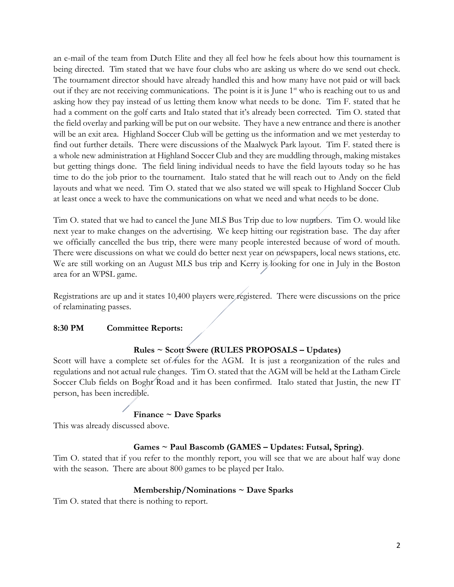an e-mail of the team from Dutch Elite and they all feel how he feels about how this tournament is being directed. Tim stated that we have four clubs who are asking us where do we send out check. The tournament director should have already handled this and how many have not paid or will back out if they are not receiving communications. The point is it is June  $1<sup>st</sup>$  who is reaching out to us and asking how they pay instead of us letting them know what needs to be done. Tim F. stated that he had a comment on the golf carts and Italo stated that it's already been corrected. Tim O. stated that the field overlay and parking will be put on our website. They have a new entrance and there is another will be an exit area. Highland Soccer Club will be getting us the information and we met yesterday to find out further details. There were discussions of the Maalwyck Park layout. Tim F. stated there is a whole new administration at Highland Soccer Club and they are muddling through, making mistakes but getting things done. The field lining individual needs to have the field layouts today so he has time to do the job prior to the tournament. Italo stated that he will reach out to Andy on the field layouts and what we need. Tim O. stated that we also stated we will speak to Highland Soccer Club at least once a week to have the communications on what we need and what needs to be done.

Tim O. stated that we had to cancel the June MLS Bus Trip due to low numbers. Tim O. would like next year to make changes on the advertising. We keep hitting our registration base. The day after we officially cancelled the bus trip, there were many people interested because of word of mouth. There were discussions on what we could do better next year on newspapers, local news stations, etc. We are still working on an August MLS bus trip and Kerry is looking for one in July in the Boston area for an WPSL game.

Registrations are up and it states 10,400 players were registered. There were discussions on the price of relaminating passes.

# **8:30 PM Committee Reports:**

## **Rules ~ Scott Swere (RULES PROPOSALS – Updates)**

Scott will have a complete set of rules for the AGM. It is just a reorganization of the rules and regulations and not actual rule changes. Tim O. stated that the AGM will be held at the Latham Circle Soccer Club fields on Boght Road and it has been confirmed. Italo stated that Justin, the new IT person, has been incredible.

# **Finance ~ Dave Sparks**

This was already discussed above.

# **Games ~ Paul Bascomb (GAMES – Updates: Futsal, Spring)**.

Tim O. stated that if you refer to the monthly report, you will see that we are about half way done with the season. There are about 800 games to be played per Italo.

#### **Membership/Nominations ~ Dave Sparks**

Tim O. stated that there is nothing to report.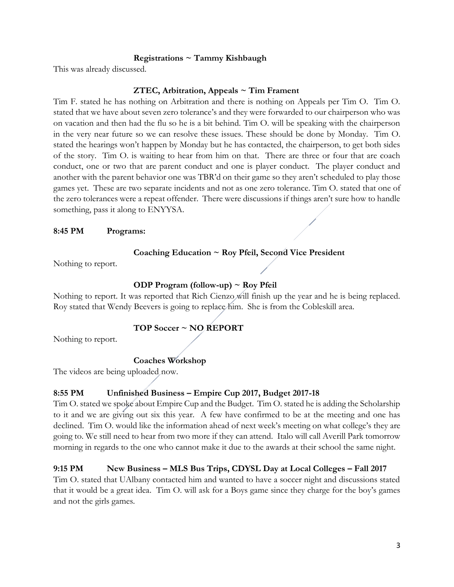## **Registrations ~ Tammy Kishbaugh**

This was already discussed.

## **ZTEC, Arbitration, Appeals ~ Tim Frament**

Tim F. stated he has nothing on Arbitration and there is nothing on Appeals per Tim O. Tim O. stated that we have about seven zero tolerance's and they were forwarded to our chairperson who was on vacation and then had the flu so he is a bit behind. Tim O. will be speaking with the chairperson in the very near future so we can resolve these issues. These should be done by Monday. Tim O. stated the hearings won't happen by Monday but he has contacted, the chairperson, to get both sides of the story. Tim O. is waiting to hear from him on that. There are three or four that are coach conduct, one or two that are parent conduct and one is player conduct. The player conduct and another with the parent behavior one was TBR'd on their game so they aren't scheduled to play those games yet. These are two separate incidents and not as one zero tolerance. Tim O. stated that one of the zero tolerances were a repeat offender. There were discussions if things aren't sure how to handle something, pass it along to ENYYSA.

#### **8:45 PM Programs:**

#### **Coaching Education ~ Roy Pfeil, Second Vice President**

Nothing to report.

## **ODP Program (follow-up) ~ Roy Pfeil**

Nothing to report. It was reported that Rich Cienzo will finish up the year and he is being replaced. Roy stated that Wendy Beevers is going to replace him. She is from the Cobleskill area.

# **TOP Soccer ~ NO REPORT**

Nothing to report.

## **Coaches Workshop**

The videos are being uploaded now.

## **8:55 PM Unfinished Business – Empire Cup 2017, Budget 2017-18**

Tim O. stated we spoke about Empire Cup and the Budget. Tim O. stated he is adding the Scholarship to it and we are giving out six this year. A few have confirmed to be at the meeting and one has declined. Tim O. would like the information ahead of next week's meeting on what college's they are going to. We still need to hear from two more if they can attend. Italo will call Averill Park tomorrow morning in regards to the one who cannot make it due to the awards at their school the same night.

## **9:15 PM New Business – MLS Bus Trips, CDYSL Day at Local Colleges – Fall 2017**

Tim O. stated that UAlbany contacted him and wanted to have a soccer night and discussions stated that it would be a great idea. Tim O. will ask for a Boys game since they charge for the boy's games and not the girls games.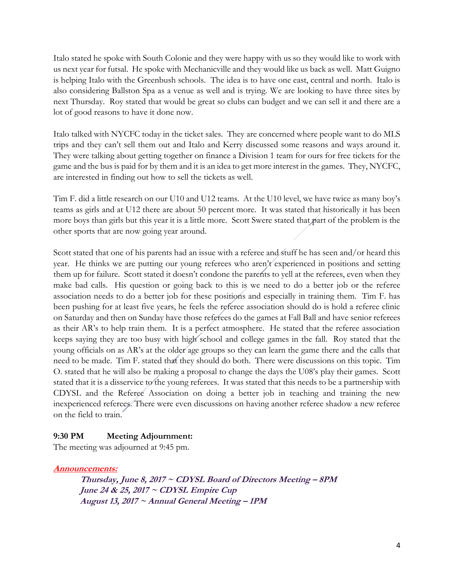Italo stated he spoke with South Colonie and they were happy with us so they would like to work with us next year for futsal. He spoke with Mechanicville and they would like us back as well. Matt Guigno is helping Italo with the Greenbush schools. The idea is to have one east, central and north. Italo is also considering Ballston Spa as a venue as well and is trying. We are looking to have three sites by next Thursday. Roy stated that would be great so clubs can budget and we can sell it and there are a lot of good reasons to have it done now.

Italo talked with NYCFC today in the ticket sales. They are concerned where people want to do MLS trips and they can't sell them out and Italo and Kerry discussed some reasons and ways around it. They were talking about getting together on finance a Division 1 team for ours for free tickets for the game and the bus is paid for by them and it is an idea to get more interest in the games. They, NYCFC, are interested in finding out how to sell the tickets as well.

Tim F. did a little research on our U10 and U12 teams. At the U10 level, we have twice as many boy's teams as girls and at U12 there are about 50 percent more. It was stated that historically it has been more boys than girls but this year it is a little more. Scott Swere stated that part of the problem is the other sports that are now going year around.

Scott stated that one of his parents had an issue with a referee and stuff he has seen and/or heard this year. He thinks we are putting our young referees who aren't experienced in positions and setting them up for failure. Scott stated it doesn't condone the parents to yell at the referees, even when they make bad calls. His question or going back to this is we need to do a better job or the referee association needs to do a better job for these positions and especially in training them. Tim F. has been pushing for at least five years, he feels the referee association should do is hold a referee clinic on Saturday and then on Sunday have those referees do the games at Fall Ball and have senior referees as their AR's to help train them. It is a perfect atmosphere. He stated that the referee association keeps saying they are too busy with high school and college games in the fall. Roy stated that the young officials on as AR's at the older age groups so they can learn the game there and the calls that need to be made. Tim F. stated that they should do both. There were discussions on this topic. Tim O. stated that he will also be making a proposal to change the days the U08's play their games. Scott stated that it is a disservice to the young referees. It was stated that this needs to be a partnership with CDYSL and the Referee Association on doing a better job in teaching and training the new inexperienced referees. There were even discussions on having another referee shadow a new referee on the field to train.

# **9:30 PM Meeting Adjournment:**

The meeting was adjourned at 9:45 pm.

## **Announcements:**

**Thursday, June 8, 2017 ~ CDYSL Board of Directors Meeting – 8PM June 24 & 25, 2017 ~ CDYSL Empire Cup August 13, 2017 ~ Annual General Meeting – 1PM**